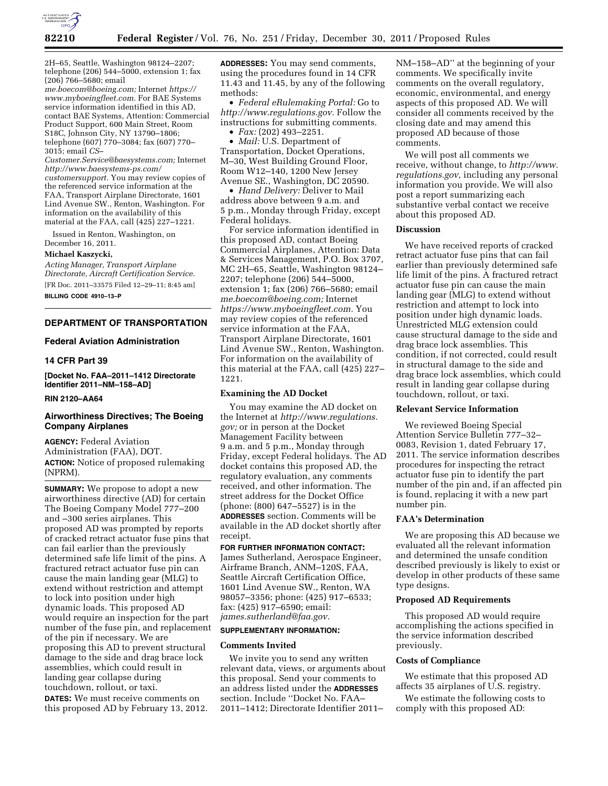

2H–65, Seattle, Washington 98124–2207; telephone (206) 544–5000, extension 1; fax (206) 766–5680; email

*[me.boecom@boeing.com;](mailto:me.boecom@boeing.com)* Internet *[https://](https://www.myboeingfleet.com) [www.myboeingfleet.com.](https://www.myboeingfleet.com)* For BAE Systems service information identified in this AD, contact BAE Systems, Attention: Commercial Product Support, 600 Main Street, Room S18C, Johnson City, NY 13790–1806; telephone (607) 770–3084; fax (607) 770– 3015; email *[CS–](mailto:CS-Customer.Service@baesystems.com)* 

*[Customer.Service@baesystems.com;](mailto:CS-Customer.Service@baesystems.com)* Internet *[http://www.baesystems-ps.com/](http://www.baesystems-ps.com/customersupport) [customersupport.](http://www.baesystems-ps.com/customersupport)* You may review copies of the referenced service information at the FAA, Transport Airplane Directorate, 1601 Lind Avenue SW., Renton, Washington. For information on the availability of this material at the FAA, call (425) 227–1221.

Issued in Renton, Washington, on December 16, 2011.

#### **Michael Kaszycki,**

*Acting Manager, Transport Airplane Directorate, Aircraft Certification Service.*  [FR Doc. 2011–33575 Filed 12–29–11; 8:45 am] **BILLING CODE 4910–13–P** 

# **DEPARTMENT OF TRANSPORTATION**

#### **Federal Aviation Administration**

# **14 CFR Part 39**

**[Docket No. FAA–2011–1412 Directorate Identifier 2011–NM–158–AD]** 

# **RIN 2120–AA64**

# **Airworthiness Directives; The Boeing Company Airplanes**

**AGENCY:** Federal Aviation Administration (FAA), DOT. **ACTION:** Notice of proposed rulemaking (NPRM).

**SUMMARY:** We propose to adopt a new airworthiness directive (AD) for certain The Boeing Company Model 777–200 and –300 series airplanes. This proposed AD was prompted by reports of cracked retract actuator fuse pins that can fail earlier than the previously determined safe life limit of the pins. A fractured retract actuator fuse pin can cause the main landing gear (MLG) to extend without restriction and attempt to lock into position under high dynamic loads. This proposed AD would require an inspection for the part number of the fuse pin, and replacement of the pin if necessary. We are proposing this AD to prevent structural damage to the side and drag brace lock assemblies, which could result in landing gear collapse during touchdown, rollout, or taxi.

**DATES:** We must receive comments on this proposed AD by February 13, 2012. **ADDRESSES:** You may send comments, using the procedures found in 14 CFR 11.43 and 11.45, by any of the following methods:

• *Federal eRulemaking Portal:* Go to *[http://www.regulations.gov.](http://www.regulations.gov)* Follow the instructions for submitting comments.

• *Fax:* (202) 493–2251.

• *Mail:* U.S. Department of Transportation, Docket Operations, M–30, West Building Ground Floor, Room W12–140, 1200 New Jersey Avenue SE., Washington, DC 20590.

• *Hand Delivery:* Deliver to Mail address above between 9 a.m. and 5 p.m., Monday through Friday, except Federal holidays.

For service information identified in this proposed AD, contact Boeing Commercial Airplanes, Attention: Data & Services Management, P.O. Box 3707, MC 2H–65, Seattle, Washington 98124– 2207; telephone (206) 544–5000, extension 1; fax (206) 766–5680; email *[me.boecom@boeing.com;](mailto:me.boecom@boeing.com)* Internet *[https://www.myboeingfleet.com.](https://www.myboeingfleet.com)* You may review copies of the referenced service information at the FAA, Transport Airplane Directorate, 1601 Lind Avenue SW., Renton, Washington. For information on the availability of this material at the FAA, call (425) 227– 1221.

#### **Examining the AD Docket**

You may examine the AD docket on the Internet at *[http://www.regulations.](http://www.regulations.gov) [gov;](http://www.regulations.gov)* or in person at the Docket Management Facility between 9 a.m. and 5 p.m., Monday through Friday, except Federal holidays. The AD docket contains this proposed AD, the regulatory evaluation, any comments received, and other information. The street address for the Docket Office (phone: (800) 647–5527) is in the **ADDRESSES** section. Comments will be available in the AD docket shortly after receipt.

**FOR FURTHER INFORMATION CONTACT:**  James Sutherland, Aerospace Engineer, Airframe Branch, ANM–120S, FAA, Seattle Aircraft Certification Office, 1601 Lind Avenue SW., Renton, WA 98057–3356; phone: (425) 917–6533; fax: (425) 917–6590; email: *[james.sutherland@faa.gov.](mailto:james.sutherland@faa.gov)* 

### **SUPPLEMENTARY INFORMATION:**

#### **Comments Invited**

We invite you to send any written relevant data, views, or arguments about this proposal. Send your comments to an address listed under the **ADDRESSES** section. Include ''Docket No. FAA– 2011–1412; Directorate Identifier 2011–

NM–158–AD'' at the beginning of your comments. We specifically invite comments on the overall regulatory, economic, environmental, and energy aspects of this proposed AD. We will consider all comments received by the closing date and may amend this proposed AD because of those comments.

We will post all comments we receive, without change, to *[http://www.](http://www.regulations.gov) [regulations.gov,](http://www.regulations.gov)* including any personal information you provide. We will also post a report summarizing each substantive verbal contact we receive about this proposed AD.

# **Discussion**

We have received reports of cracked retract actuator fuse pins that can fail earlier than previously determined safe life limit of the pins. A fractured retract actuator fuse pin can cause the main landing gear (MLG) to extend without restriction and attempt to lock into position under high dynamic loads. Unrestricted MLG extension could cause structural damage to the side and drag brace lock assemblies. This condition, if not corrected, could result in structural damage to the side and drag brace lock assemblies, which could result in landing gear collapse during touchdown, rollout, or taxi.

# **Relevant Service Information**

We reviewed Boeing Special Attention Service Bulletin 777–32– 0083, Revision 1, dated February 17, 2011. The service information describes procedures for inspecting the retract actuator fuse pin to identify the part number of the pin and, if an affected pin is found, replacing it with a new part number pin.

#### **FAA's Determination**

We are proposing this AD because we evaluated all the relevant information and determined the unsafe condition described previously is likely to exist or develop in other products of these same type designs.

# **Proposed AD Requirements**

This proposed AD would require accomplishing the actions specified in the service information described previously.

# **Costs of Compliance**

We estimate that this proposed AD affects 35 airplanes of U.S. registry.

We estimate the following costs to comply with this proposed AD: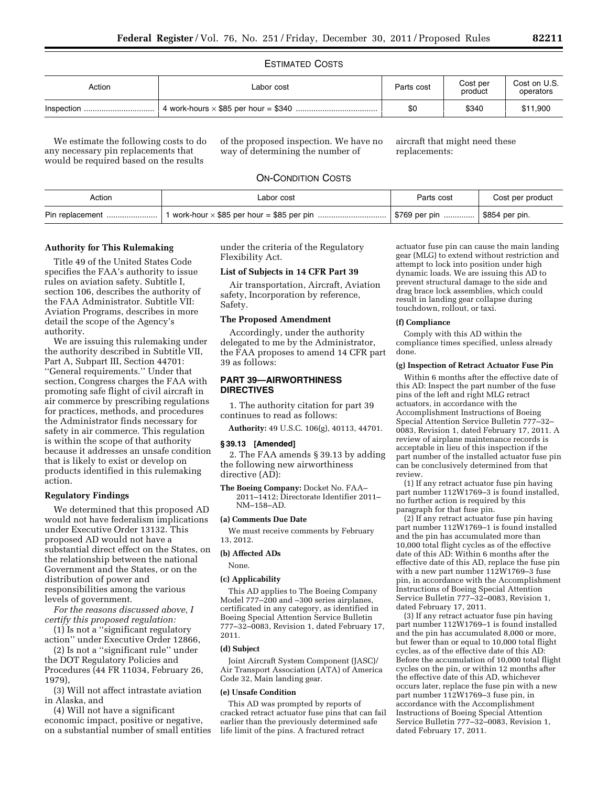### ESTIMATED COSTS

| Action | Labor cost | Parts cost | Cost per<br>product | Cost on U.S.<br>operators |
|--------|------------|------------|---------------------|---------------------------|
|        |            | \$0        | \$340               | \$11,900                  |

We estimate the following costs to do any necessary pin replacements that would be required based on the results

of the proposed inspection. We have no way of determining the number of

aircraft that might need these replacements:

# ON-CONDITION COSTS

| Action | Labor cost | Parts cost | Cost per product |
|--------|------------|------------|------------------|
|        |            |            |                  |

#### **Authority for This Rulemaking**

Title 49 of the United States Code specifies the FAA's authority to issue rules on aviation safety. Subtitle I, section 106, describes the authority of the FAA Administrator. Subtitle VII: Aviation Programs, describes in more detail the scope of the Agency's authority.

We are issuing this rulemaking under the authority described in Subtitle VII, Part A, Subpart III, Section 44701: ''General requirements.'' Under that section, Congress charges the FAA with promoting safe flight of civil aircraft in air commerce by prescribing regulations for practices, methods, and procedures the Administrator finds necessary for safety in air commerce. This regulation is within the scope of that authority because it addresses an unsafe condition that is likely to exist or develop on products identified in this rulemaking action.

#### **Regulatory Findings**

We determined that this proposed AD would not have federalism implications under Executive Order 13132. This proposed AD would not have a substantial direct effect on the States, on the relationship between the national Government and the States, or on the distribution of power and responsibilities among the various levels of government.

*For the reasons discussed above, I certify this proposed regulation:* 

(1) Is not a ''significant regulatory action'' under Executive Order 12866,

(2) Is not a ''significant rule'' under the DOT Regulatory Policies and Procedures (44 FR 11034, February 26, 1979),

(3) Will not affect intrastate aviation in Alaska, and

(4) Will not have a significant economic impact, positive or negative, on a substantial number of small entities under the criteria of the Regulatory Flexibility Act.

### **List of Subjects in 14 CFR Part 39**

Air transportation, Aircraft, Aviation safety, Incorporation by reference, Safety.

### **The Proposed Amendment**

Accordingly, under the authority delegated to me by the Administrator, the FAA proposes to amend 14 CFR part 39 as follows:

### **PART 39—AIRWORTHINESS DIRECTIVES**

1. The authority citation for part 39 continues to read as follows:

**Authority:** 49 U.S.C. 106(g), 40113, 44701.

#### **§ 39.13 [Amended]**

2. The FAA amends § 39.13 by adding the following new airworthiness directive (AD):

**The Boeing Company:** Docket No. FAA– 2011–1412; Directorate Identifier 2011– NM–158–AD.

### **(a) Comments Due Date**

We must receive comments by February 13, 2012.

#### **(b) Affected ADs**

None.

# **(c) Applicability**

This AD applies to The Boeing Company Model 777–200 and –300 series airplanes, certificated in any category, as identified in Boeing Special Attention Service Bulletin 777–32–0083, Revision 1, dated February 17, 2011.

#### **(d) Subject**

Joint Aircraft System Component (JASC)/ Air Transport Association (ATA) of America Code 32, Main landing gear.

#### **(e) Unsafe Condition**

This AD was prompted by reports of cracked retract actuator fuse pins that can fail earlier than the previously determined safe life limit of the pins. A fractured retract

actuator fuse pin can cause the main landing gear (MLG) to extend without restriction and attempt to lock into position under high dynamic loads. We are issuing this AD to prevent structural damage to the side and drag brace lock assemblies, which could result in landing gear collapse during touchdown, rollout, or taxi.

# **(f) Compliance**

Comply with this AD within the compliance times specified, unless already done.

#### **(g) Inspection of Retract Actuator Fuse Pin**

Within 6 months after the effective date of this AD: Inspect the part number of the fuse pins of the left and right MLG retract actuators, in accordance with the Accomplishment Instructions of Boeing Special Attention Service Bulletin 777–32– 0083, Revision 1, dated February 17, 2011. A review of airplane maintenance records is acceptable in lieu of this inspection if the part number of the installed actuator fuse pin can be conclusively determined from that review.

(1) If any retract actuator fuse pin having part number 112W1769–3 is found installed, no further action is required by this paragraph for that fuse pin.

(2) If any retract actuator fuse pin having part number 112W1769–1 is found installed and the pin has accumulated more than 10,000 total flight cycles as of the effective date of this AD: Within 6 months after the effective date of this AD, replace the fuse pin with a new part number  $112W1769-3$  fuse pin, in accordance with the Accomplishment Instructions of Boeing Special Attention Service Bulletin 777–32–0083, Revision 1, dated February 17, 2011.

(3) If any retract actuator fuse pin having part number 112W1769–1 is found installed and the pin has accumulated 8,000 or more, but fewer than or equal to 10,000 total flight cycles, as of the effective date of this AD: Before the accumulation of 10,000 total flight cycles on the pin, or within 12 months after the effective date of this AD, whichever occurs later, replace the fuse pin with a new part number 112W1769–3 fuse pin, in accordance with the Accomplishment Instructions of Boeing Special Attention Service Bulletin 777–32–0083, Revision 1, dated February 17, 2011.